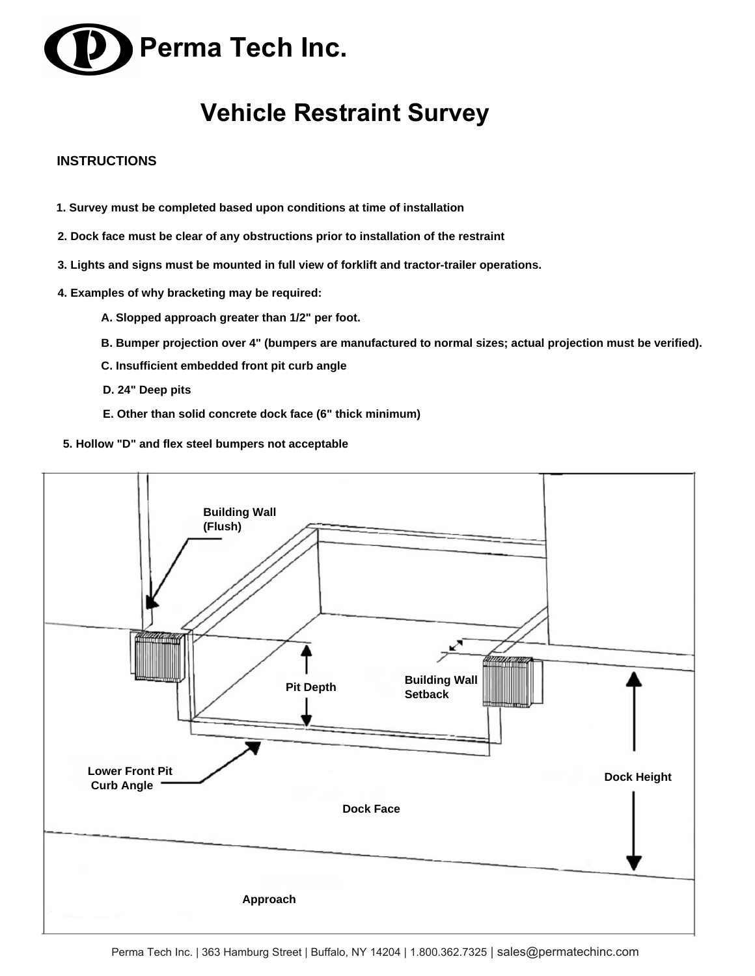

## **Vehicle Restraint Survey**

## **INSTRUCTIONS**

- **1. Survey must be completed based upon conditions at time of installation**
- **2. Dock face must be clear of any obstructions prior to installation of the restraint**
- **3. Lights and signs must be mounted in full view of forklift and tractor-trailer operations.**
- **4. Examples of why bracketing may be required:**
	- **A. Slopped approach greater than 1/2" per foot.**
	- **B. Bumper projection over 4" (bumpers are manufactured to normal sizes; actual projection must be verified).**
	- **C. Insufficient embedded front pit curb angle**
	- **D. 24" Deep pits**
	- **E. Other than solid concrete dock face (6" thick minimum)**
- **5. Hollow "D" and flex steel bumpers not acceptable**

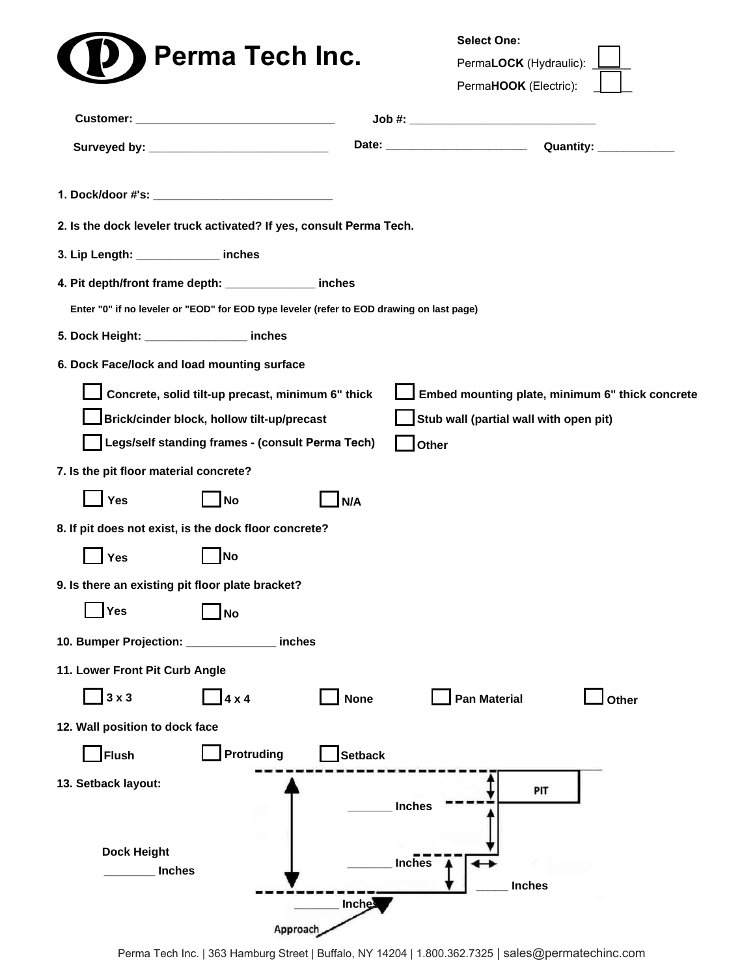|                                                                                           |                                                   |                |               | <b>Select One:</b>                     |                                                 |
|-------------------------------------------------------------------------------------------|---------------------------------------------------|----------------|---------------|----------------------------------------|-------------------------------------------------|
|                                                                                           | <b>Perma Tech Inc.</b>                            |                |               | PermaLOCK (Hydraulic):                 |                                                 |
|                                                                                           |                                                   |                |               | PermaHOOK (Electric):                  |                                                 |
|                                                                                           |                                                   |                |               |                                        |                                                 |
|                                                                                           |                                                   |                |               |                                        |                                                 |
|                                                                                           |                                                   |                |               |                                        |                                                 |
| 2. Is the dock leveler truck activated? If yes, consult Perma Tech.                       |                                                   |                |               |                                        |                                                 |
| 3. Lip Length: _______________ inches                                                     |                                                   |                |               |                                        |                                                 |
| 4. Pit depth/front frame depth: ______________ inches                                     |                                                   |                |               |                                        |                                                 |
| Enter "0" if no leveler or "EOD" for EOD type leveler (refer to EOD drawing on last page) |                                                   |                |               |                                        |                                                 |
| 5. Dock Height: _________________ inches                                                  |                                                   |                |               |                                        |                                                 |
| 6. Dock Face/lock and load mounting surface                                               |                                                   |                |               |                                        |                                                 |
|                                                                                           | Concrete, solid tilt-up precast, minimum 6" thick |                |               |                                        | Embed mounting plate, minimum 6" thick concrete |
|                                                                                           | Brick/cinder block, hollow tilt-up/precast        |                |               | Stub wall (partial wall with open pit) |                                                 |
|                                                                                           | Legs/self standing frames - (consult Perma Tech)  |                | Other         |                                        |                                                 |
| 7. Is the pit floor material concrete?                                                    |                                                   |                |               |                                        |                                                 |
| Yes                                                                                       | <b>No</b>                                         | N/A            |               |                                        |                                                 |
| 8. If pit does not exist, is the dock floor concrete?                                     |                                                   |                |               |                                        |                                                 |
| <b>Yes</b>                                                                                | <b>No</b>                                         |                |               |                                        |                                                 |
| 9. Is there an existing pit floor plate bracket?                                          |                                                   |                |               |                                        |                                                 |
| Yes                                                                                       | <b>No</b>                                         |                |               |                                        |                                                 |
| 10. Bumper Projection:                                                                    | inches                                            |                |               |                                        |                                                 |
| 11. Lower Front Pit Curb Angle                                                            |                                                   |                |               |                                        |                                                 |
| $3 \times 3$                                                                              | $4 \times 4$                                      | <b>None</b>    |               | <b>Pan Material</b>                    | Other                                           |
| 12. Wall position to dock face                                                            |                                                   |                |               |                                        |                                                 |
| <b>Flush</b>                                                                              | <b>Protruding</b>                                 | <b>Setback</b> |               |                                        |                                                 |
| 13. Setback layout:                                                                       |                                                   |                |               | PIT                                    |                                                 |
|                                                                                           |                                                   |                | <b>Inches</b> |                                        |                                                 |
|                                                                                           |                                                   |                |               |                                        |                                                 |
| <b>Dock Height</b><br><b>Inches</b>                                                       |                                                   |                | <b>Inches</b> |                                        |                                                 |
|                                                                                           |                                                   |                |               | <b>Inches</b>                          |                                                 |
|                                                                                           |                                                   | Inches         |               |                                        |                                                 |
|                                                                                           | Approach                                          |                |               |                                        |                                                 |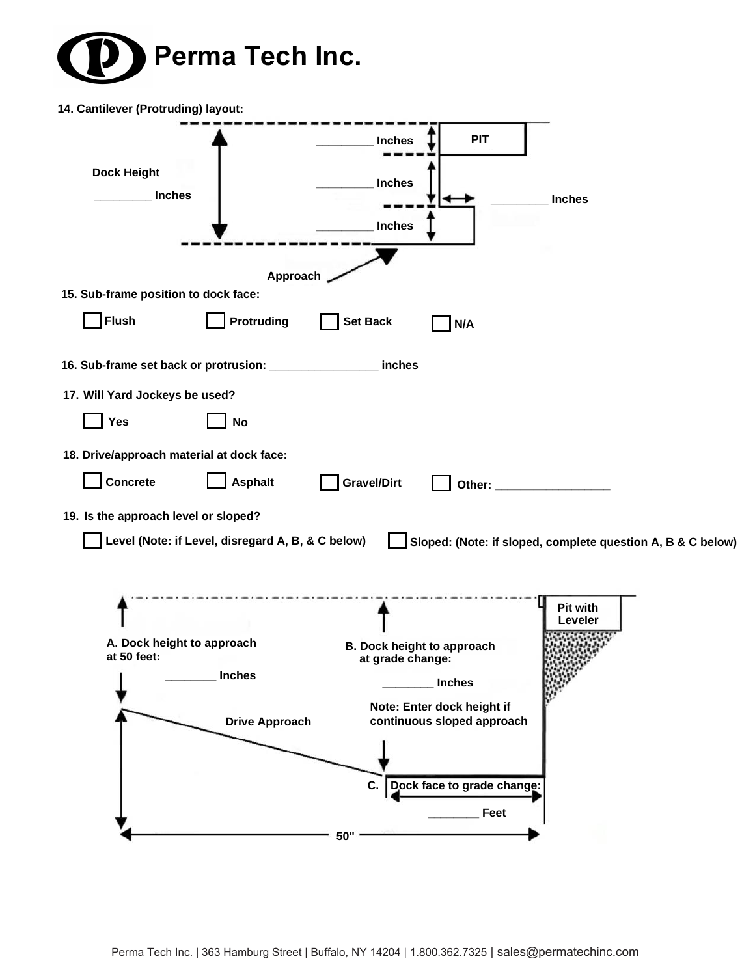

| 14. Cantilever (Protruding) layout:       |                                                   |                                   |                                                             |
|-------------------------------------------|---------------------------------------------------|-----------------------------------|-------------------------------------------------------------|
|                                           |                                                   | <b>PIT</b><br><b>Inches</b>       |                                                             |
| <b>Dock Height</b>                        |                                                   |                                   |                                                             |
| <b>Inches</b>                             |                                                   | <b>Inches</b>                     | <b>Inches</b>                                               |
|                                           |                                                   | <b>Inches</b>                     |                                                             |
|                                           |                                                   |                                   |                                                             |
|                                           | Approach                                          |                                   |                                                             |
| 15. Sub-frame position to dock face:      |                                                   |                                   |                                                             |
| <b>Flush</b>                              | <b>Protruding</b>                                 | <b>Set Back</b><br>N/A            |                                                             |
|                                           |                                                   | inches                            |                                                             |
| 17. Will Yard Jockeys be used?            |                                                   |                                   |                                                             |
| Yes                                       | <b>No</b>                                         |                                   |                                                             |
| 18. Drive/approach material at dock face: |                                                   |                                   |                                                             |
| Concrete                                  | <b>Asphalt</b>                                    | <b>Gravel/Dirt</b>                |                                                             |
| 19. Is the approach level or sloped?      |                                                   |                                   |                                                             |
|                                           | Level (Note: if Level, disregard A, B, & C below) |                                   | Sloped: (Note: if sloped, complete question A, B & C below) |
|                                           |                                                   |                                   |                                                             |
|                                           |                                                   |                                   |                                                             |
|                                           |                                                   |                                   | Pit with<br>Leveler                                         |
| A. Dock height to approach                |                                                   | <b>B. Dock height to approach</b> |                                                             |
| at 50 feet:                               |                                                   | at grade change:                  |                                                             |
|                                           | <b>Inches</b>                                     | <b>Inches</b>                     |                                                             |
|                                           |                                                   | Note: Enter dock height if        |                                                             |
|                                           | <b>Drive Approach</b>                             | continuous sloped approach        |                                                             |
|                                           |                                                   |                                   |                                                             |
|                                           |                                                   | Dock face to grade change:<br>c.  |                                                             |
|                                           |                                                   | Feet                              |                                                             |
|                                           |                                                   |                                   |                                                             |